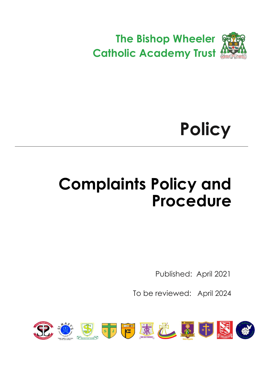

# **Policy**

## <span id="page-0-0"></span>**Complaints Policy and Procedure**

Published: April 2021

To be reviewed: April 2024

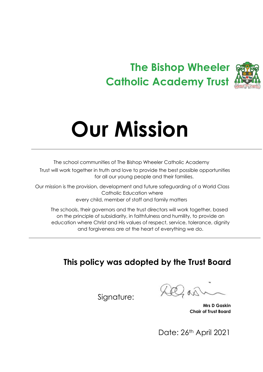### **The Bishop Wheeler Catholic Academy Trust**



# **Our Mission**

The school communities of The Bishop Wheeler Catholic Academy Trust will work together in truth and love to provide the best possible opportunities for all our young people and their families.

Our mission is the provision, development and future safeguarding of a World Class Catholic Education where every child, member of staff and family matters

The schools, their governors and the trust directors will work together, based on the principle of subsidiarity, in faithfulness and humility, to provide an education where Christ and His values of respect, service, tolerance, dignity and forgiveness are at the heart of everything we do.

### **This policy was adopted by the Trust Board**

 $\Delta \lambda$ 

 **Mrs D Gaskin Chair of Trust Board**

Date: 26th April 2021

Signature: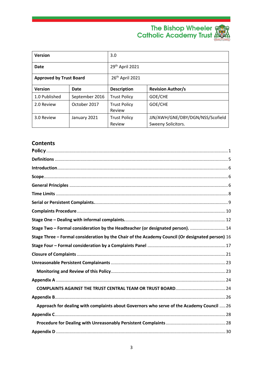## The Bishop Wheeler<br>Catholic Academy Trust



| <b>Version</b>                 |                | 3.0                           |                                                        |
|--------------------------------|----------------|-------------------------------|--------------------------------------------------------|
| Date                           |                | 29th April 2021               |                                                        |
| <b>Approved by Trust Board</b> |                | 26 <sup>th</sup> April 2021   |                                                        |
| <b>Version</b>                 | <b>Date</b>    | <b>Description</b>            | <b>Revision Author/s</b>                               |
| 1.0 Published                  | September 2016 | <b>Trust Policy</b>           | GOE/CHE                                                |
| 2.0 Review                     | October 2017   | <b>Trust Policy</b><br>Review | GOE/CHE                                                |
| 3.0 Review                     | January 2021   | <b>Trust Policy</b><br>Review | JJN/AWH/GNE/DBY/DGN/NSS/Scofield<br>Sweeny Solicitors. |

#### **Contents**

| Stage Two - Formal consideration by the Headteacher (or designated person).  14                  |  |
|--------------------------------------------------------------------------------------------------|--|
| Stage Three - Formal consideration by the Chair of the Academy Council (Or designated person) 16 |  |
|                                                                                                  |  |
|                                                                                                  |  |
|                                                                                                  |  |
|                                                                                                  |  |
|                                                                                                  |  |
|                                                                                                  |  |
|                                                                                                  |  |
| Approach for dealing with complaints about Governors who serve of the Academy Council  26        |  |
|                                                                                                  |  |
|                                                                                                  |  |
|                                                                                                  |  |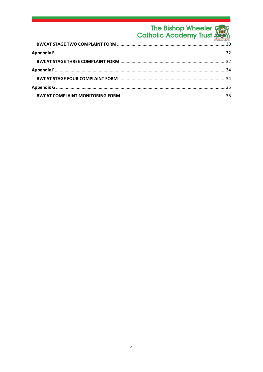### The Bishop Wheeler<br>Catholic Academy Trust

<span id="page-3-0"></span>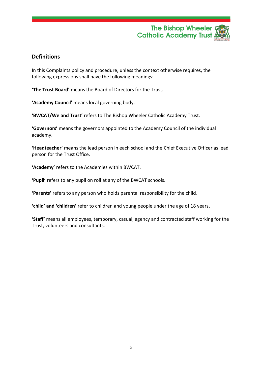

#### **Definitions**

In this Complaints policy and procedure, unless the context otherwise requires, the following expressions shall have the following meanings:

**'The Trust Board'** means the Board of Directors for the Trust.

**'Academy Council'** means local governing body.

**'BWCAT/We and Trust'** refers to The Bishop Wheeler Catholic Academy Trust.

**'Governors'** means the governors appointed to the Academy Council of the individual academy.

**'Headteacher'** means the lead person in each school and the Chief Executive Officer as lead person for the Trust Office.

**'Academy'** refers to the Academies within BWCAT.

**'Pupil'** refers to any pupil on roll at any of the BWCAT schools.

**'Parents'** refers to any person who holds parental responsibility for the child.

**'child' and 'children'** refer to children and young people under the age of 18 years.

<span id="page-4-0"></span>**'Staff'** means all employees, temporary, casual, agency and contracted staff working for the Trust, volunteers and consultants.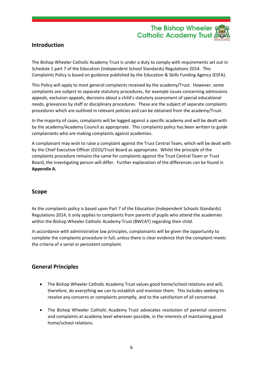

#### **Introduction**

The Bishop Wheeler Catholic Academy Trust is under a duty to comply with requirements set out in Schedule 1 part 7 of the Education (Independent School Standards) Regulations 2014. This Complaints Policy is based on guidance published by the Education & Skills Funding Agency (ESFA).

This Policy will apply to most general complaints received by the academy/Trust. However, some complaints are subject to separate statutory procedures, for example issues concerning admissions appeals, exclusion appeals, decisions about a child's statutory assessment of special educational needs, grievances by staff or disciplinary procedures. These are the subject of separate complaints procedures which are outlined in relevant policies and can be obtained from the academy/Trust.

In the majority of cases, complaints will be logged against a specific academy and will be dealt with by the academy/Academy Council as appropriate. This complaints policy has been written to guide complainants who are making complaints against academies.

A complainant may wish to raise a complaint against the Trust Central Team, which will be dealt with by the Chief Executive Officer (CEO)/Trust Board as appropriate. Whilst the principle of the complaints procedure remains the same for complaints against the Trust Central Team or Trust Board, the investigating person will differ. Further explanation of the differences can be found in **Appendix A.**

#### <span id="page-5-0"></span>**Scope**

As the complaints policy is based upon Part 7 of the Education (Independent Schools Standards) Regulations 2014, it only applies to complaints from parents of pupils who attend the academies within the Bishop Wheeler Catholic Academy Trust (BWCAT) regarding their child.

In accordance with administrative law principles, complainants will be given the opportunity to complete the complaints procedure in full, unless there is clear evidence that the complaint meets the criteria of a serial or persistent complaint.

#### <span id="page-5-1"></span>**General Principles**

- The Bishop Wheeler Catholic Academy Trust values good home/school relations and will, therefore, do everything we can to establish and maintain them. This includes seeking to resolve any concerns or complaints promptly, and to the satisfaction of all concerned.
- The Bishop Wheeler Catholic Academy Trust advocates resolution of parental concerns and complaints at academy level wherever possible, in the interests of maintaining good home/school relations.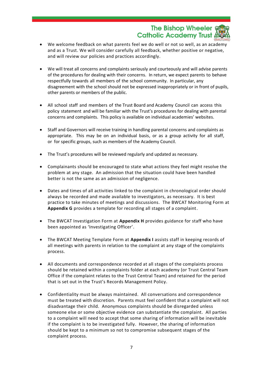The Bishop Wheeler **Catholic Academy Trust** 

- We welcome feedback on what parents feel we do well or not so well, as an academy and as a Trust. We will consider carefully all feedback, whether positive or negative, and will review our policies and practices accordingly.
- We will treat all concerns and complaints seriously and courteously and will advise parents of the procedures for dealing with their concerns. In return, we expect parents to behave respectfully towards all members of the school community. In particular, any disagreement with the school should not be expressed inappropriately or in front of pupils, other parents or members of the public.
- All school staff and members of the Trust Board and Academy Council can access this policy statement and will be familiar with the Trust's procedures for dealing with parental concerns and complaints. This policy is available on individual academies' websites.
- Staff and Governors will receive training in handling parental concerns and complaints as appropriate. This may be on an individual basis, or as a group activity for all staff, or for specific groups, such as members of the Academy Council.
- The Trust's procedures will be reviewed regularly and updated as necessary.
- Complainants should be encouraged to state what actions they feel might resolve the problem at any stage. An admission that the situation could have been handled better is not the same as an admission of negligence.
- Dates and times of all activities linked to the complaint in chronological order should always be recorded and made available to investigators, as necessary. It is best practice to take minutes of meetings and discussions. The BWCAT Monitoring Form at **Appendix G** provides a template for recording all stages of a complaint.
- The BWCAT Investigation Form at **Appendix H** provides guidance for staff who have been appointed as 'Investigating Officer'.
- The BWCAT Meeting Template Form at **Appendix I** assists staff in keeping records of all meetings with parents in relation to the complaint at any stage of the complaints process.
- All documents and correspondence recorded at all stages of the complaints process should be retained within a complaints folder at each academy (or Trust Central Team Office if the complaint relates to the Trust Central Team) and retained for the period that is set out in the Trust's Records Management Policy.
- Confidentiality must be always maintained. All conversations and correspondence must be treated with discretion. Parents must feel confident that a complaint will not disadvantage their child. Anonymous complaints should be disregarded unless someone else or some objective evidence can substantiate the complaint. All parties to a complaint will need to accept that some sharing of information will be inevitable if the complaint is to be investigated fully. However, the sharing of information should be kept to a minimum so not to compromise subsequent stages of the complaint process.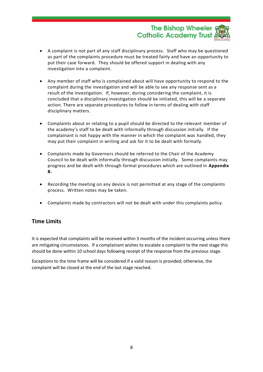#### The Bishop Wheeler § **Catholic Academy Trust**

- A complaint is not part of any staff disciplinary process. Staff who may be questioned as part of the complaints procedure must be treated fairly and have an opportunity to put their case forward. They should be offered support in dealing with any investigation into a complaint.
- Any member of staff who is complained about will have opportunity to respond to the complaint during the investigation and will be able to see any response sent as a result of the investigation. If, however, during considering the complaint, it is concluded that a disciplinary investigation should be initiated, this will be a separate action. There are separate procedures to follow in terms of dealing with staff disciplinary matters.
- Complaints about or relating to a pupil should be directed to the relevant member of the academy's staff to be dealt with informally through discussion initially. If the complainant is not happy with the manner in which the complaint was handled, they may put their complaint in writing and ask for it to be dealt with formally.
- Complaints made by Governors should be referred to the Chair of the Academy Council to be dealt with informally through discussion initially. Some complaints may progress and be dealt with through formal procedures which are outlined in **Appendix B.**
- Recording the meeting on any device is not permitted at any stage of the complaints process. Written notes may be taken.
- Complaints made by contractors will not be dealt with under this complaints policy.

#### <span id="page-7-0"></span>**Time Limits**

It is expected that complaints will be received within 3 months of the incident occurring unless there are mitigating circumstances. If a complainant wishes to escalate a complaint to the next stage this should be done within 10 school days following receipt of the response from the previous stage.

<span id="page-7-1"></span>Exceptions to the time frame will be considered if a valid reason is provided; otherwise, the complaint will be closed at the end of the last stage reached.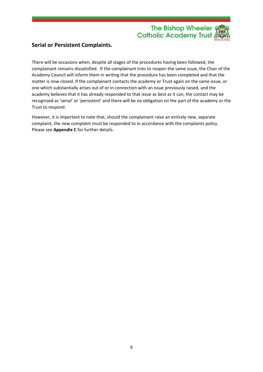

#### **Serial or Persistent Complaints.**

There will be occasions when, despite all stages of the procedures having been followed, the complainant remains dissatisfied. If the complainant tries to reopen the same issue, the Chair of the Academy Council will inform them in writing that the procedure has been completed and that the matter is now closed. If the complainant contacts the academy or Trust again on the same issue, or one which substantially arises out of or in connection with an issue previously raised, and the academy believes that it has already responded to that issue as best as it can, the contact may be recognised as 'serial' or 'persistent' and there will be no obligation on the part of the academy or the Trust to respond.

However, it is important to note that, should the complainant raise an entirely new, separate complaint, the new complaint must be responded to in accordance with the complaints policy. Please see **Appendix C** for further details.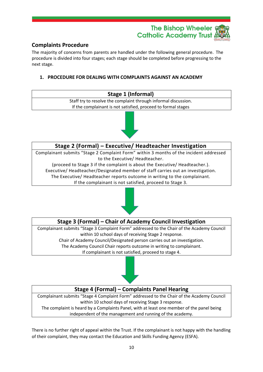

#### <span id="page-9-0"></span>**Complaints Procedure**

The majority of concerns from parents are handled under the following general procedure. The procedure is divided into four stages; each stage should be completed before progressing to the next stage.

#### **1. PROCEDURE FOR DEALING WITH COMPLAINTS AGAINST AN ACADEMY**





#### **Stage 2 (Formal) – Executive/ Headteacher Investigation**

Complainant submits "Stage 2 Complaint Form" within 3 months of the incident addressed to the Executive/ Headteacher.

(proceed to Stage 3 if the complaint is about the Executive/ Headteacher.). Executive/ Headteacher/Designated member of staff carries out an investigation. The Executive/ Headteacher reports outcome in writing to the complainant. If the complainant is not satisfied, proceed to Stage 3.



#### **Stage 3 (Formal) – Chair of Academy Council Investigation**

Complainant submits "Stage 3 Complaint Form" addressed to the Chair of the Academy Council within 10 school days of receiving Stage 2 response. Chair of Academy Council/Designated person carries out an investigation. The Academy Council Chair reports outcome in writing to complainant. If complainant is not satisfied, proceed to stage 4.



#### **Stage 4 (Formal) – Complaints Panel Hearing**

Complainant submits "Stage 4 Complaint Form" addressed to the Chair of the Academy Council within 10 school days of receiving Stage 3 response.

The complaint is heard by a Complaints Panel, with at least one member of the panel being independent of the management and running of the academy.

There is no further right of appeal within the Trust. If the complainant is not happy with the handling of their complaint, they may contact the Education and Skills Funding Agency (ESFA).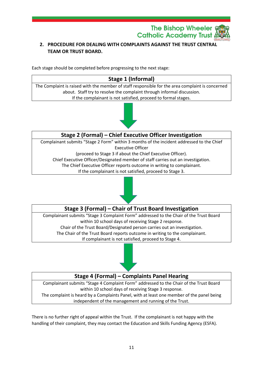

#### **2. PROCEDURE FOR DEALING WITH COMPLAINTS AGAINST THE TRUST CENTRAL TEAM OR TRUST BOARD.**

Each stage should be completed before progressing to the next stage:

#### **Stage 1 (Informal)** The Complaint is raised with the member of staff responsible for the area complaint is concerned about. Staff try to resolve the complaint through informal discussion. If the complainant is not satisfied, proceed to formal stages.



#### **Stage 2 (Formal) – Chief Executive Officer Investigation**

Complainant submits "Stage 2 Form" within 3 months of the incident addressed to the Chief Executive Officer

(proceed to Stage 3 if about the Chief Executive Officer).

Chief Executive Officer/Designated member of staff carries out an investigation.

The Chief Executive Officer reports outcome in writing to complainant.

If the complainant is not satisfied, proceed to Stage 3.



#### **Stage 3 (Formal) – Chair of Trust Board Investigation**

Complainant submits "Stage 3 Complaint Form" addressed to the Chair of the Trust Board within 10 school days of receiving Stage 2 response. Chair of the Trust Board/Designated person carries out an investigation. The Chair of the Trust Board reports outcome in writing to the complainant. If complainant is not satisfied, proceed to Stage 4.



#### **Stage 4 (Formal) – Complaints Panel Hearing**

Complainant submits "Stage 4 Complaint Form" addressed to the Chair of the Trust Board within 10 school days of receiving Stage 3 response. The complaint is heard by a Complaints Panel, with at least one member of the panel being independent of the management and running of the Trust.

There is no further right of appeal within the Trust. If the complainant is not happy with the handling of their complaint, they may contact the Education and Skills Funding Agency (ESFA).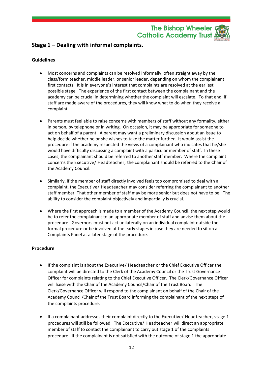#### The Bishop Wheeler § **Catholic Academy Trust**

#### <span id="page-11-0"></span>**Stage 1 – Dealing with informal complaints.**

#### **Guidelines**

- Most concerns and complaints can be resolved informally, often straight away by the class/form teacher, middle leader, or senior leader, depending on whom the complainant first contacts. It is in everyone's interest that complaints are resolved at the earliest possible stage. The experience of the first contact between the complainant and the academy can be crucial in determining whether the complaint will escalate. To that end, if staff are made aware of the procedures, they will know what to do when they receive a complaint.
- Parents must feel able to raise concerns with members of staff without any formality, either in person, by telephone or in writing. On occasion, it may be appropriate for someone to act on behalf of a parent. A parent may want a preliminary discussion about an issue to help decide whether he or she wishes to take the matter further. It would assist the procedure if the academy respected the views of a complainant who indicates that he/she would have difficulty discussing a complaint with a particular member of staff. In these cases, the complainant should be referred to another staff member. Where the complaint concerns the Executive/ Headteacher, the complainant should be referred to the Chair of the Academy Council.
- Similarly, if the member of staff directly involved feels too compromised to deal with a complaint, the Executive/ Headteacher may consider referring the complainant to another staff member. That other member of staff may be more senior but does not have to be. The ability to consider the complaint objectively and impartially is crucial.
- Where the first approach is made to a member of the Academy Council, the next step would be to refer the complainant to an appropriate member of staff and advise them about the procedure. Governors must not act unilaterally on an individual complaint outside the formal procedure or be involved at the early stages in case they are needed to sit on a Complaints Panel at a later stage of the procedure.

#### **Procedure**

- If the complaint is about the Executive/ Headteacher or the Chief Executive Officer the complaint will be directed to the Clerk of the Academy Council or the Trust Governance Officer for complaints relating to the Chief Executive Officer. The Clerk/Governance Officer will liaise with the Chair of the Academy Council/Chair of the Trust Board. The Clerk/Governance Officer will respond to the complainant on behalf of the Chair of the Academy Council/Chair of the Trust Board informing the complainant of the next steps of the complaints procedure.
- If a complainant addresses their complaint directly to the Executive/ Headteacher, stage 1 procedures will still be followed. The Executive/ Headteacher will direct an appropriate member of staff to contact the complainant to carry out stage 1 of the complaints procedure. If the complainant is not satisfied with the outcome of stage 1 the appropriate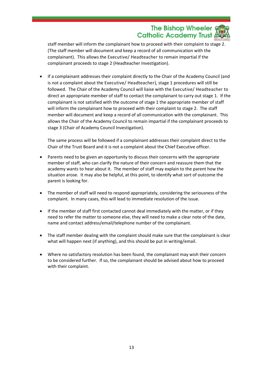#### The Bishop Wheeler & **Catholic Academy Trust**

staff member will inform the complainant how to proceed with their complaint to stage 2. (The staff member will document and keep a record of all communication with the complainant). This allows the Executive/ Headteacher to remain impartial if the complainant proceeds to stage 2 (Headteacher Investigation).

• If a complainant addresses their complaint directly to the Chair of the Academy Council (and is not a complaint about the Executive/ Headteacher), stage 1 procedures will still be followed. The Chair of the Academy Council will liaise with the Executive/ Headteacher to direct an appropriate member of staff to contact the complainant to carry out stage 1. If the complainant is not satisfied with the outcome of stage 1 the appropriate member of staff will inform the complainant how to proceed with their complaint to stage 2. The staff member will document and keep a record of all communication with the complainant. This allows the Chair of the Academy Council to remain impartial if the complainant proceeds to stage 3 (Chair of Academy Council Investigation).

The same process will be followed if a complainant addresses their complaint direct to the Chair of the Trust Board and it is not a complaint about the Chief Executive officer.

- Parents need to be given an opportunity to discuss their concerns with the appropriate member of staff, who can clarify the nature of their concern and reassure them that the academy wants to hear about it. The member of staff may explain to the parent how the situation arose. It may also be helpful, at this point, to identify what sort of outcome the parent is looking for.
- The member of staff will need to respond appropriately, considering the seriousness of the complaint. In many cases, this will lead to immediate resolution of the issue.
- If the member of staff first contacted cannot deal immediately with the matter, or if they need to refer the matter to someone else, they will need to make a clear note of the date, name and contact address/email/telephone number of the complainant.
- The staff member dealing with the complaint should make sure that the complainant is clear what will happen next (if anything), and this should be put in writing/email.
- Where no satisfactory resolution has been found, the complainant may wish their concern to be considered further. If so, the complainant should be advised about how to proceed with their complaint.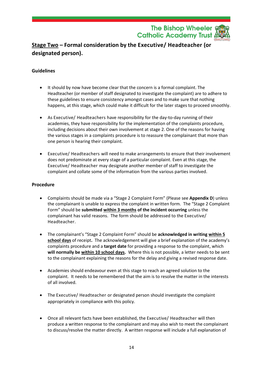The Bishop Wheeler & **Catholic Academy Trust** 

#### <span id="page-13-0"></span>**Stage Two – Formal consideration by the Executive/ Headteacher (or designated person).**

#### **Guidelines**

- It should by now have become clear that the concern is a formal complaint. The Headteacher (or member of staff designated to investigate the complaint) are to adhere to these guidelines to ensure consistency amongst cases and to make sure that nothing happens, at this stage, which could make it difficult for the later stages to proceed smoothly.
- As Executive/ Headteachers have responsibility for the day-to-day running of their academies, they have responsibility for the implementation of the complaints procedure, including decisions about their own involvement at stage 2. One of the reasons for having the various stages in a complaints procedure is to reassure the complainant that more than one person is hearing their complaint.
- Executive/ Headteachers will need to make arrangements to ensure that their involvement does not predominate at every stage of a particular complaint. Even at this stage, the Executive/ Headteacher may designate another member of staff to investigate the complaint and collate some of the information from the various parties involved.

#### **Procedure**

- Complaints should be made via a "Stage 2 Complaint Form" (Please see **Appendix D**) unless the complainant is unable to express the complaint in written form. The "Stage 2 Complaint Form" should be **submitted within 3 months of the incident occurring** unless the complainant has valid reasons. The form should be addressed to the Executive/ Headteacher.
- The complainant's "Stage 2 Complaint Form" should be **acknowledged in writing within 5 school days** of receipt**.** The acknowledgement will give a brief explanation of the academy's complaints procedure and a **target date** for providing a response to the complaint, which **will normally be within 10 school days.** Where this is not possible, a letter needs to be sent to the complainant explaining the reasons for the delay and giving a revised response date.
- Academies should endeavour even at this stage to reach an agreed solution to the complaint. It needs to be remembered that the aim is to resolve the matter in the interests of all involved.
- The Executive/ Headteacher or designated person should investigate the complaint appropriately in compliance with this policy.
- Once all relevant facts have been established, the Executive/ Headteacher will then produce a written response to the complainant and may also wish to meet the complainant to discuss/resolve the matter directly. A written response will include a full explanation of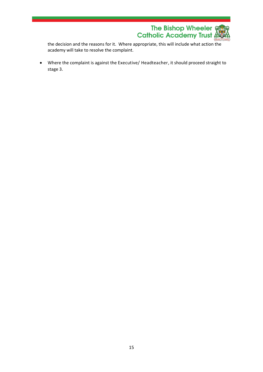

the decision and the reasons for it. Where appropriate, this will include what action the academy will take to resolve the complaint.

• Where the complaint is against the Executive/ Headteacher, it should proceed straight to stage 3.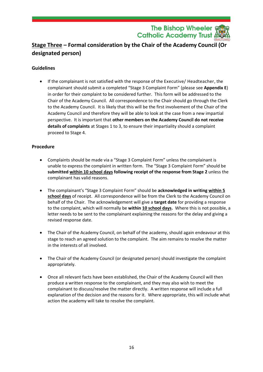The Bishop Wheeler <sub>9</sub> **Catholic Academy Trust A** 

#### <span id="page-15-0"></span>**Stage Three – Formal consideration by the Chair of the Academy Council (Or designated person)**

#### **Guidelines**

• If the complainant is not satisfied with the response of the Executive/ Headteacher, the complainant should submit a completed "Stage 3 Complaint Form" (please see **Appendix E**) in order for their complaint to be considered further. This form will be addressed to the Chair of the Academy Council. All correspondence to the Chair should go through the Clerk to the Academy Council. It is likely that this will be the first involvement of the Chair of the Academy Council and therefore they will be able to look at the case from a new impartial perspective. It is important that **other members on the Academy Council do not receive details of complaints** at Stages 1 to 3, to ensure their impartiality should a complaint proceed to Stage 4.

#### **Procedure**

- Complaints should be made via a "Stage 3 Complaint Form" unless the complainant is unable to express the complaint in written form. The "Stage 3 Complaint Form" should be **submitted within 10 school days following receipt of the response from Stage 2** unless the complainant has valid reasons.
- The complainant's "Stage 3 Complaint Form" should be **acknowledged in writing within 5 school days** of receipt. All correspondence will be from the Clerk to the Academy Council on behalf of the Chair. The acknowledgement will give a **target date** for providing a response to the complaint, which will normally be **within 10 school days.** Where this is not possible, a letter needs to be sent to the complainant explaining the reasons for the delay and giving a revised response date.
- The Chair of the Academy Council, on behalf of the academy, should again endeavour at this stage to reach an agreed solution to the complaint. The aim remains to resolve the matter in the interests of all involved.
- The Chair of the Academy Council (or designated person) should investigate the complaint appropriately.
- Once all relevant facts have been established, the Chair of the Academy Council will then produce a written response to the complainant, and they may also wish to meet the complainant to discuss/resolve the matter directly. A written response will include a full explanation of the decision and the reasons for it. Where appropriate, this will include what action the academy will take to resolve the complaint.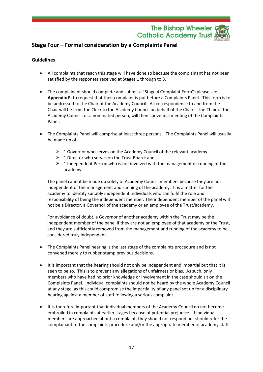#### The Bishop Wheeler **Catholic Academy Trust**

#### <span id="page-16-0"></span>**Stage Four – Formal consideration by a Complaints Panel**

#### **Guidelines**

- All complaints that reach this stage will have done so because the complainant has not been satisfied by the responses received at Stages 1 through to 3.
- The complainant should complete and submit a "Stage 4 Complaint Form" (please see **Appendix F**) to request that their complaint is put before a Complaints Panel. This form is to be addressed to the Chair of the Academy Council. All correspondence to and from the Chair will be from the Clerk to the Academy Council on behalf of the Chair. The Chair of the Academy Council, or a nominated person, will then convene a meeting of the Complaints Panel.
- The Complaints Panel will comprise at least three persons. The Complaints Panel will usually be made up of:
	- $\triangleright$  1 Governor who serves on the Academy Council of the relevant academy.
	- $\geq 1$  Director who serves on the Trust Board: and
	- $\triangleright$  1 Independent Person who is not involved with the management or running of the academy.

The panel cannot be made up solely of Academy Council members because they are not independent of the management and running of the academy. It is a matter for the academy to identify suitably independent individuals who can fulfil the role and responsibility of being the independent member. The independent member of the panel will not be a Director, a Governor of the academy or an employee of the Trust/academy.

For avoidance of doubt, a Governor of another academy within the Trust may be the independent member of the panel if they are not an employee of that academy or the Trust, and they are sufficiently removed from the management and running of the academy to be considered truly independent.

- The Complaints Panel hearing is the last stage of the complaints procedure and is not convened merely to rubber-stamp previous decisions.
- It is important that the hearing should not only be independent and impartial but that it is seen to be so. This is to prevent any allegations of unfairness or bias. As such, only members who have had no prior knowledge or involvement in the case should sit on the Complaints Panel. Individual complaints should not be heard by the whole Academy Council at any stage, as this could compromise the impartiality of any panel set up for a disciplinary hearing against a member of staff following a serious complaint.
- It is therefore important that individual members of the Academy Council do not become embroiled in complaints at earlier stages because of potential prejudice. If individual members are approached about a complaint, they should not respond but should refer the complainant to the complaints procedure and/or the appropriate member of academy staff.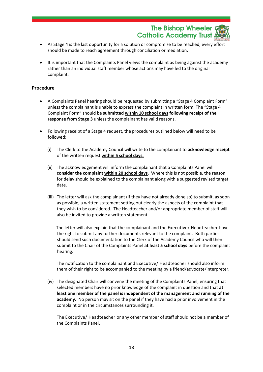The Bishop Wheeler & **Catholic Academy Trust** 

- As Stage 4 is the last opportunity for a solution or compromise to be reached, every effort should be made to reach agreement through conciliation or mediation.
- It is important that the Complaints Panel views the complaint as being against the academy rather than an individual staff member whose actions may have led to the original complaint.

#### **Procedure**

- A Complaints Panel hearing should be requested by submitting a "Stage 4 Complaint Form" unless the complainant is unable to express the complaint in written form. The "Stage 4 Complaint Form" should be **submitted within 10 school days following receipt of the response from Stage 3** unless the complainant has valid reasons.
- Following receipt of a Stage 4 request, the procedures outlined below will need to be followed:
	- (i) The Clerk to the Academy Council will write to the complainant to **acknowledge receipt** of the written request **within 5 school days.**
	- (ii) The acknowledgement will inform the complainant that a Complaints Panel will **consider the complaint within 20 school days**. Where this is not possible, the reason for delay should be explained to the complainant along with a suggested revised target date.
	- (iii) The letter will ask the complainant (if they have not already done so) to submit, as soon as possible, a written statement setting out clearly the aspects of the complaint that they wish to be considered. The Headteacher and/or appropriate member of staff will also be invited to provide a written statement.

 The letter will also explain that the complainant and the Executive/ Headteacher have the right to submit any further documents relevant to the complaint. Both parties should send such documentation to the Clerk of the Academy Council who will then submit to the Chair of the Complaints Panel **at least 5 school days** before the complaint hearing.

The notification to the complainant and Executive/ Headteacher should also inform them of their right to be accompanied to the meeting by a friend/advocate/interpreter.

(iv) The designated Chair will convene the meeting of the Complaints Panel, ensuring that selected members have no prior knowledge of the complaint in question and that **at least one member of the panel is independent of the management and running of the academy**. No person may sit on the panel if they have had a prior involvement in the complaint or in the circumstances surrounding it.

The Executive/ Headteacher or any other member of staff should not be a member of the Complaints Panel.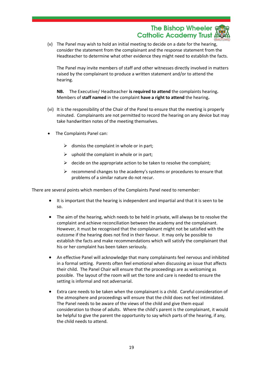#### The Bishop Wheeler & **Catholic Academy Trust**

(v) The Panel may wish to hold an initial meeting to decide on a date for the hearing, consider the statement from the complainant and the response statement from the Headteacher to determine what other evidence they might need to establish the facts.

The Panel may invite members of staff and other witnesses directly involved in matters raised by the complainant to produce a written statement and/or to attend the hearing.

**NB.** The Executive/ Headteacher **is required to attend** the complaints hearing**.**  Members of **staff named** in the complaint **have a right to attend** the hearing**.**

- (vi) It is the responsibility of the Chair of the Panel to ensure that the meeting is properly minuted. Complainants are not permitted to record the hearing on any device but may take handwritten notes of the meeting themselves.
- The Complaints Panel can:
	- $\triangleright$  dismiss the complaint in whole or in part;
	- $\triangleright$  uphold the complaint in whole or in part;
	- $\triangleright$  decide on the appropriate action to be taken to resolve the complaint;
	- ➢ recommend changes to the academy's systems or procedures to ensure that problems of a similar nature do not recur.

There are several points which members of the Complaints Panel need to remember:

- It is important that the hearing is independent and impartial and that it is seen to be so.
- The aim of the hearing, which needs to be held in private, will always be to resolve the complaint and achieve reconciliation between the academy and the complainant. However, it must be recognised that the complainant might not be satisfied with the outcome if the hearing does not find in their favour. It may only be possible to establish the facts and make recommendations which will satisfy the complainant that his or her complaint has been taken seriously.
- An effective Panel will acknowledge that many complainants feel nervous and inhibited in a formal setting. Parents often feel emotional when discussing an issue that affects their child. The Panel Chair will ensure that the proceedings are as welcoming as possible. The layout of the room will set the tone and care is needed to ensure the setting is informal and not adversarial.
- Extra care needs to be taken when the complainant is a child. Careful consideration of the atmosphere and proceedings will ensure that the child does not feel intimidated. The Panel needs to be aware of the views of the child and give them equal consideration to those of adults. Where the child's parent is the complainant, it would be helpful to give the parent the opportunity to say which parts of the hearing, if any, the child needs to attend.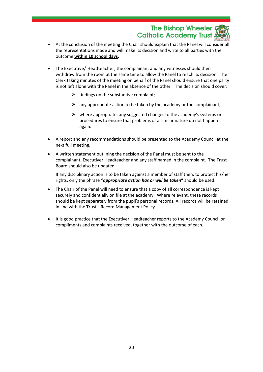The Bishop Wheeler <sub>98</sub> **Catholic Academy Trust** 

- At the conclusion of the meeting the Chair should explain that the Panel will consider all the representations made and will make its decision and write to all parties with the outcome **within 10 school days.**
- The Executive/ Headteacher, the complainant and any witnesses should then withdraw from the room at the same time to allow the Panel to reach its decision. The Clerk taking minutes of the meeting on behalf of the Panel should ensure that one party is not left alone with the Panel in the absence of the other. The decision should cover:
	- $\triangleright$  findings on the substantive complaint;
	- $\triangleright$  any appropriate action to be taken by the academy or the complainant;
	- $\triangleright$  where appropriate, any suggested changes to the academy's systems or procedures to ensure that problems of a similar nature do not happen again.
- A report and any recommendations should be presented to the Academy Council at the next full meeting.
- A written statement outlining the decision of the Panel must be sent to the complainant, Executive/ Headteacher and any staff named in the complaint. The Trust Board should also be updated.

If any disciplinary action is to be taken against a member of staff then, to protect his/her rights, only the phrase "*appropriate action has or will be taken***"** should be used.

- The Chair of the Panel will need to ensure that a copy of all correspondence is kept securely and confidentially on file at the academy. Where relevant, these records should be kept separately from the pupil's personal records. All records will be retained in line with the Trust's Record Management Policy.
- It is good practice that the Executive/ Headteacher reports to the Academy Council on compliments and complaints received, together with the outcome of each.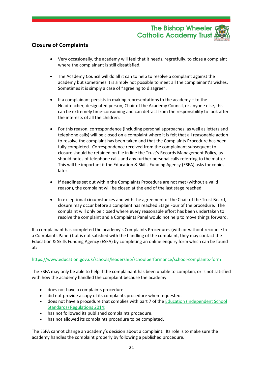#### The Bishop Wheeler **Catholic Academy Trust**

#### <span id="page-20-0"></span>**Closure of Complaints**

- Very occasionally, the academy will feel that it needs, regretfully, to close a complaint where the complainant is still dissatisfied.
- The Academy Council will do all it can to help to resolve a complaint against the academy but sometimes it is simply not possible to meet all the complainant's wishes. Sometimes it is simply a case of "agreeing to disagree".
- If a complainant persists in making representations to the academy to the Headteacher, designated person, Chair of the Academy Council, or anyone else, this can be extremely time-consuming and can detract from the responsibility to look after the interests of all the children.
- For this reason, correspondence (including personal approaches, as well as letters and telephone calls) will be closed on a complaint where it is felt that all reasonable action to resolve the complaint has been taken and that the Complaints Procedure has been fully completed. Correspondence received from the complainant subsequent to closure should be retained on file in line the Trust's Records Management Policy, as should notes of telephone calls and any further personal calls referring to the matter. This will be important if the Education & Skills Funding Agency (ESFA) asks for copies later.
- If deadlines set out within the Complaints Procedure are not met (without a valid reason), the complaint will be closed at the end of the last stage reached.
- In exceptional circumstances and with the agreement of the Chair of the Trust Board, closure may occur before a complaint has reached Stage Four of the procedure. The complaint will only be closed where every reasonable effort has been undertaken to resolve the complaint and a Complaints Panel would not help to move things forward.

If a complainant has completed the academy's Complaints Procedures (with or without recourse to a Complaints Panel) but is not satisfied with the handling of the complaint, they may contact the Education & Skills Funding Agency (ESFA) by completing an online enquiry form which can be found at:

#### https://www.education.gov.uk/schools/leadership/schoolperformance/school-complaints-form

The ESFA may only be able to help if the complainant has been unable to complain, or is not satisfied with how the academy handled the complaint because the academy:

- does not have a complaints procedure.
- did not provide a copy of its complaints procedure when requested.
- does not have a procedure that complies with part 7 of the [Education \(Independent School](http://www.legislation.gov.uk/uksi/2014/3283/schedule/made)  [Standards\) Regulations 2014;](http://www.legislation.gov.uk/uksi/2014/3283/schedule/made)
- has not followed its published complaints procedure.
- has not allowed its complaints procedure to be completed.

The ESFA cannot change an academy's decision about a complaint. Its role is to make sure the academy handles the complaint properly by following a published procedure.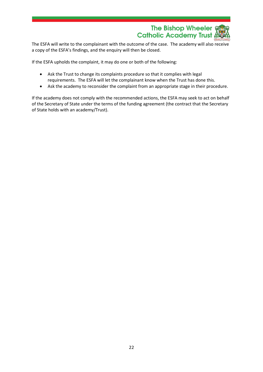

The ESFA will write to the complainant with the outcome of the case. The academy will also receive a copy of the ESFA's findings, and the enquiry will then be closed.

If the ESFA upholds the complaint, it may do one or both of the following:

- Ask the Trust to change its complaints procedure so that it complies with legal requirements. The ESFA will let the complainant know when the Trust has done this.
- Ask the academy to reconsider the complaint from an appropriate stage in their procedure.

If the academy does not comply with the recommended actions, the ESFA may seek to act on behalf of the Secretary of State under the terms of the funding agreement (the contract that the Secretary of State holds with an academy/Trust).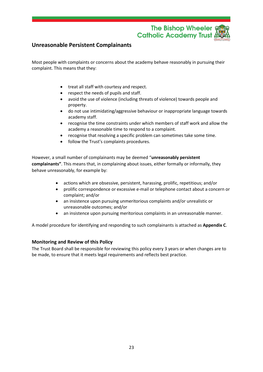The Bishop Wheeler **Catholic Academy Trust** 

#### <span id="page-22-0"></span>**Unreasonable Persistent Complainants**

Most people with complaints or concerns about the academy behave reasonably in pursuing their complaint. This means that they:

- treat all staff with courtesy and respect.
- respect the needs of pupils and staff.
- avoid the use of violence (including threats of violence) towards people and property.
- do not use intimidating/aggressive behaviour or inappropriate language towards academy staff.
- recognise the time constraints under which members of staff work and allow the academy a reasonable time to respond to a complaint.
- recognise that resolving a specific problem can sometimes take some time.
- follow the Trust's complaints procedures.

However, a small number of complainants may be deemed "**unreasonably persistent complainants"**. This means that, in complaining about issues, either formally or informally, they behave unreasonably, for example by:

- actions which are obsessive, persistent, harassing, prolific, repetitious; and/or
- prolific correspondence or excessive e-mail or telephone contact about a concern or complaint; and/or
- an insistence upon pursuing unmeritorious complaints and/or unrealistic or unreasonable outcomes; and/or
- an insistence upon pursuing meritorious complaints in an unreasonable manner.

A model procedure for identifying and responding to such complainants is attached as **Appendix C**.

#### <span id="page-22-1"></span>**Monitoring and Review of this Policy**

The Trust Board shall be responsible for reviewing this policy every 3 years or when changes are to be made, to ensure that it meets legal requirements and reflects best practice.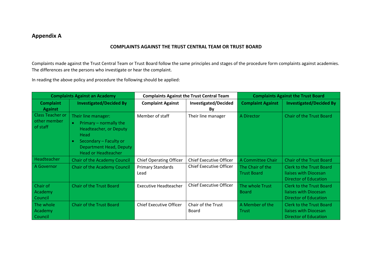#### **Appendix A**

#### **COMPLAINTS AGAINST THE TRUST CENTRAL TEAM OR TRUST BOARD**

Complaints made against the Trust Central Team or Trust Board follow the same principles and stages of the procedure form complaints against academies. The differences are the persons who investigate or hear the complaint.

In reading the above policy and procedure the following should be applied:

<span id="page-23-1"></span><span id="page-23-0"></span>

| <b>Complaints Against an Academy</b>                                 |                                                                                                                                                                                        | <b>Complaints Against the Trust Central Team</b> |                                    | <b>Complaints Against the Trust Board</b> |                                                                                          |
|----------------------------------------------------------------------|----------------------------------------------------------------------------------------------------------------------------------------------------------------------------------------|--------------------------------------------------|------------------------------------|-------------------------------------------|------------------------------------------------------------------------------------------|
| <b>Investigated/Decided By</b><br><b>Complaint</b><br><b>Against</b> |                                                                                                                                                                                        | <b>Complaint Against</b>                         | <b>Investigated/Decided</b><br>By  | <b>Complaint Against</b>                  | <b>Investigated/Decided By</b>                                                           |
| <b>Class Teacher or</b><br>other member<br>of staff                  | Their line manager:<br>Primary – normally the<br>$\bullet$<br>Headteacher, or Deputy<br>Head<br>Secondary - Faculty or<br><b>Department Head, Deputy</b><br><b>Head or Headteacher</b> | Member of staff                                  | Their line manager                 | A Director                                | <b>Chair of the Trust Board</b>                                                          |
| Headteacher                                                          | Chair of the Academy Council                                                                                                                                                           | <b>Chief Operating Officer</b>                   | <b>Chief Executive Officer</b>     | A Committee Chair                         | <b>Chair of the Trust Board</b>                                                          |
| A Governor                                                           | <b>Chair of the Academy Council</b>                                                                                                                                                    | <b>Primary Standards</b><br>Lead                 | <b>Chief Executive Officer</b>     | The Chair of the<br><b>Trust Board</b>    | <b>Clerk to the Trust Board</b><br>liaises with Diocesan<br><b>Director of Education</b> |
| Chair of<br>Academy<br><b>Council</b>                                | <b>Chair of the Trust Board</b>                                                                                                                                                        | <b>Executive Headteacher</b>                     | <b>Chief Executive Officer</b>     | The whole Trust<br><b>Board</b>           | <b>Clerk to the Trust Board</b><br>liaises with Diocesan<br><b>Director of Education</b> |
| The whole<br>Academy<br><b>Council</b>                               | <b>Chair of the Trust Board</b>                                                                                                                                                        | <b>Chief Executive Officer</b>                   | Chair of the Trust<br><b>Board</b> | A Member of the<br>Trust                  | <b>Clerk to the Trust Board</b><br>liaises with Diocesan<br><b>Director of Education</b> |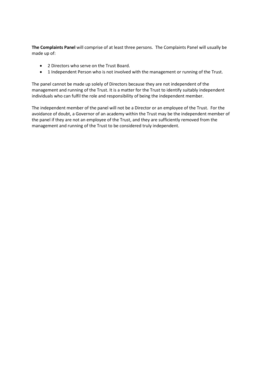**The Complaints Panel** will comprise of at least three persons. The Complaints Panel will usually be made up of:

- 2 Directors who serve on the Trust Board.
- 1 Independent Person who is not involved with the management or running of the Trust.

The panel cannot be made up solely of Directors because they are not independent of the management and running of the Trust. It is a matter for the Trust to identify suitably independent individuals who can fulfil the role and responsibility of being the independent member.

<span id="page-24-0"></span>The independent member of the panel will not be a Director or an employee of the Trust. For the avoidance of doubt, a Governor of an academy within the Trust may be the independent member of the panel if they are not an employee of the Trust, and they are sufficiently removed from the management and running of the Trust to be considered truly independent.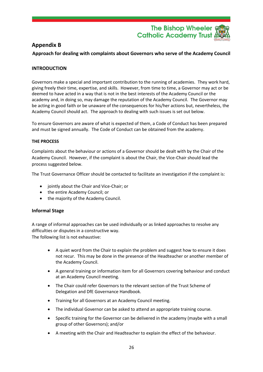

#### **Appendix B**

<span id="page-25-0"></span>**Approach for dealing with complaints about Governors who serve of the Academy Council**

#### **INTRODUCTION**

Governors make a special and important contribution to the running of academies. They work hard, giving freely their time, expertise, and skills. However, from time to time, a Governor may act or be deemed to have acted in a way that is not in the best interests of the Academy Council or the academy and, in doing so, may damage the reputation of the Academy Council. The Governor may be acting in good faith or be unaware of the consequences for his/her actions but, nevertheless, the Academy Council should act. The approach to dealing with such issues is set out below.

To ensure Governors are aware of what is expected of them, a Code of Conduct has been prepared and must be signed annually. The Code of Conduct can be obtained from the academy.

#### **THE PROCESS**

Complaints about the behaviour or actions of a Governor should be dealt with by the Chair of the Academy Council. However, if the complaint is about the Chair, the Vice-Chair should lead the process suggested below.

The Trust Governance Officer should be contacted to facilitate an investigation if the complaint is:

- jointly about the Chair and Vice-Chair; or
- the entire Academy Council; or
- the majority of the Academy Council.

#### **Informal Stage**

A range of informal approaches can be used individually or as linked approaches to resolve any difficulties or disputes in a constructive way. The following list is not exhaustive:

- A quiet word from the Chair to explain the problem and suggest how to ensure it does not recur. This may be done in the presence of the Headteacher or another member of the Academy Council.
- A general training or information item for all Governors covering behaviour and conduct at an Academy Council meeting.
- The Chair could refer Governors to the relevant section of the Trust Scheme of Delegation and DfE Governance Handbook.
- Training for all Governors at an Academy Council meeting.
- The individual Governor can be asked to attend an appropriate training course.
- Specific training for the Governor can be delivered in the academy (maybe with a small group of other Governors); and/or
- A meeting with the Chair and Headteacher to explain the effect of the behaviour.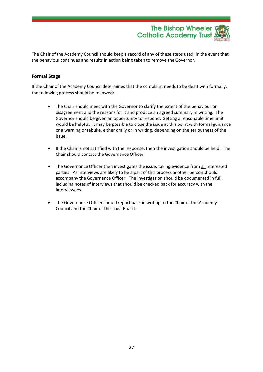

The Chair of the Academy Council should keep a record of any of these steps used, in the event that the behaviour continues and results in action being taken to remove the Governor.

#### **Formal Stage**

If the Chair of the Academy Council determines that the complaint needs to be dealt with formally, the following process should be followed:

- The Chair should meet with the Governor to clarify the extent of the behaviour or disagreement and the reasons for it and produce an agreed summary in writing. The Governor should be given an opportunity to respond. Setting a reasonable time limit would be helpful. It may be possible to close the issue at this point with formal guidance or a warning or rebuke, either orally or in writing, depending on the seriousness of the issue.
- If the Chair is not satisfied with the response, then the investigation should be held. The Chair should contact the Governance Officer.
- The Governance Officer then investigates the issue, taking evidence from all interested parties. As interviews are likely to be a part of this process another person should accompany the Governance Officer. The investigation should be documented in full, including notes of interviews that should be checked back for accuracy with the interviewees.
- The Governance Officer should report back in writing to the Chair of the Academy Council and the Chair of the Trust Board.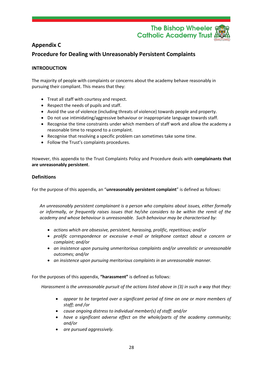

#### <span id="page-27-0"></span>**Appendix C**

#### <span id="page-27-1"></span>**Procedure for Dealing with Unreasonably Persistent Complaints**

#### **INTRODUCTION**

The majority of people with complaints or concerns about the academy behave reasonably in pursuing their compliant. This means that they:

- Treat all staff with courtesy and respect.
- Respect the needs of pupils and staff.
- Avoid the use of violence (including threats of violence) towards people and property.
- Do not use intimidating/aggressive behaviour or inappropriate language towards staff.
- Recognise the time constraints under which members of staff work and allow the academy a reasonable time to respond to a complaint.
- Recognise that resolving a specific problem can sometimes take some time.
- Follow the Trust's complaints procedures.

However, this appendix to the Trust Complaints Policy and Procedure deals with **complainants that are unreasonably persistent**.

#### **Definitions**

For the purpose of this appendix, an "**unreasonably persistent complaint**" is defined as follows:

*An unreasonably persistent complainant is a person who complains about issues, either formally or informally, or frequently raises issues that he/she considers to be within the remit of the academy and whose behaviour is unreasonable. Such behaviour may be characterised by:* 

- *actions which are obsessive, persistent, harassing, prolific, repetitious; and/or*
- *prolific correspondence or excessive e-mail or telephone contact about a concern or complaint; and/or*
- *an insistence upon pursuing unmeritorious complaints and/or unrealistic or unreasonable outcomes; and/or*
- *an insistence upon pursuing meritorious complaints in an unreasonable manner.*

For the purposes of this appendix, **"harassment"** is defined as follows:

*Harassment is the unreasonable pursuit of the actions listed above in (3) in such a way that they:*

- *appear to be targeted over a significant period of time on one or more members of staff; and /or*
- *cause ongoing distress to individual member(s) of staff: and/or*
- *have a significant adverse effect on the whole/parts of the academy community; and/or*
- *are pursued aggressively.*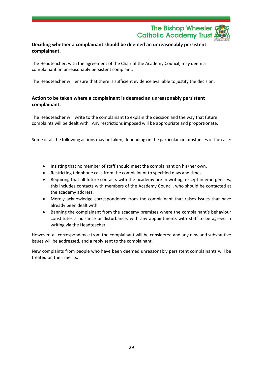The Bishop Wheeler & **Catholic Academy Trust** 

#### **Deciding whether a complainant should be deemed an unreasonably persistent complainant.**

The Headteacher, with the agreement of the Chair of the Academy Council, may deem a complainant an unreasonably persistent complaint.

The Headteacher will ensure that there is sufficient evidence available to justify the decision.

#### **Action to be taken where a complainant is deemed an unreasonably persistent complainant.**

The Headteacher will write to the complainant to explain the decision and the way that future complaints will be dealt with. Any restrictions imposed will be appropriate and proportionate.

Some or all the following actions may be taken, depending on the particular circumstances of the case:

- Insisting that no member of staff should meet the complainant on his/her own.
- Restricting telephone calls from the complainant to specified days and times.
- Requiring that all future contacts with the academy are in writing, except in emergencies, this includes contacts with members of the Academy Council, who should be contacted at the academy address.
- Merely acknowledge correspondence from the complainant that raises issues that have already been dealt with.
- Banning the complainant from the academy premises where the complainant's behaviour constitutes a nuisance or disturbance, with any appointments with staff to be agreed in writing via the Headteacher.

However, all correspondence from the complainant will be considered and any new and substantive issues will be addressed, and a reply sent to the complainant.

New complaints from people who have been deemed unreasonably persistent complainants will be treated on their merits.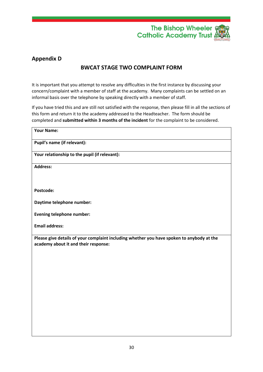

#### <span id="page-29-1"></span><span id="page-29-0"></span>**Appendix D**

#### **BWCAT STAGE TWO COMPLAINT FORM**

It is important that you attempt to resolve any difficulties in the first instance by discussing your concern/complaint with a member of staff at the academy. Many complaints can be settled on an informal basis over the telephone by speaking directly with a member of staff.

If you have tried this and are still not satisfied with the response, then please fill in all the sections of this form and return it to the academy addressed to the Headteacher. The form should be completed and **submitted within 3 months of the incident** for the complaint to be considered.

| <b>Your Name:</b>                                                                                                                 |
|-----------------------------------------------------------------------------------------------------------------------------------|
| Pupil's name (if relevant):                                                                                                       |
| Your relationship to the pupil (if relevant):                                                                                     |
| <b>Address:</b>                                                                                                                   |
|                                                                                                                                   |
| Postcode:                                                                                                                         |
| Daytime telephone number:                                                                                                         |
| <b>Evening telephone number:</b>                                                                                                  |
| <b>Email address:</b>                                                                                                             |
| Please give details of your complaint including whether you have spoken to anybody at the<br>academy about it and their response: |
|                                                                                                                                   |
|                                                                                                                                   |
|                                                                                                                                   |
|                                                                                                                                   |
|                                                                                                                                   |
|                                                                                                                                   |
|                                                                                                                                   |
|                                                                                                                                   |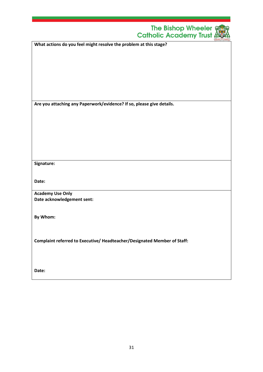| The Bishop Wheeler $\frac{2}{3}$<br><b>Catholic Academy Trust &amp;</b>  |
|--------------------------------------------------------------------------|
| What actions do you feel might resolve the problem at this stage?        |
|                                                                          |
|                                                                          |
|                                                                          |
|                                                                          |
|                                                                          |
|                                                                          |
| Are you attaching any Paperwork/evidence? If so, please give details.    |
|                                                                          |
|                                                                          |
|                                                                          |
|                                                                          |
|                                                                          |
|                                                                          |
| Signature:                                                               |
|                                                                          |
| Date:                                                                    |
| <b>Academy Use Only</b>                                                  |
| Date acknowledgement sent:                                               |
|                                                                          |
| By Whom:                                                                 |
|                                                                          |
|                                                                          |
| Complaint referred to Executive/ Headteacher/Designated Member of Staff: |
|                                                                          |
|                                                                          |
| Date:                                                                    |
|                                                                          |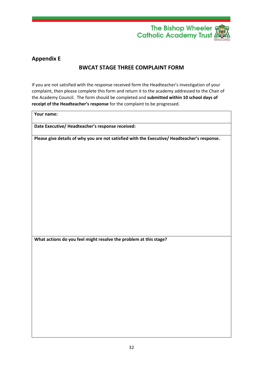

#### <span id="page-31-1"></span><span id="page-31-0"></span>**Appendix E**

#### **BWCAT STAGE THREE COMPLAINT FORM**

If you are not satisfied with the response received form the Headteacher's investigation of your complaint, then please complete this form and return it to the academy addressed to the Chair of the Academy Council. The form should be completed and **submitted within 10 school days of receipt of the Headteacher's response** for the complaint to be progressed.

**Your name:**

**Date Executive/ Headteacher's response received:**

**Please give details of why you are not satisfied with the Executive/ Headteacher's response.**

**What actions do you feel might resolve the problem at this stage?**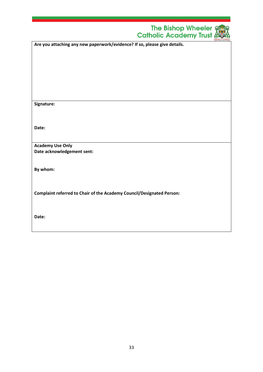|                                                                           | The Bishop Wheeler $\frac{2}{3}$<br><b>Catholic Academy Trust (</b> |
|---------------------------------------------------------------------------|---------------------------------------------------------------------|
| Are you attaching any new paperwork/evidence? If so, please give details. |                                                                     |
|                                                                           |                                                                     |
|                                                                           |                                                                     |
|                                                                           |                                                                     |
|                                                                           |                                                                     |
|                                                                           |                                                                     |
| Signature:                                                                |                                                                     |
|                                                                           |                                                                     |
| Date:                                                                     |                                                                     |
|                                                                           |                                                                     |
| <b>Academy Use Only</b><br>Date acknowledgement sent:                     |                                                                     |
|                                                                           |                                                                     |
| By whom:                                                                  |                                                                     |
|                                                                           |                                                                     |
| Complaint referred to Chair of the Academy Council/Designated Person:     |                                                                     |
|                                                                           |                                                                     |
| Date:                                                                     |                                                                     |
|                                                                           |                                                                     |
|                                                                           |                                                                     |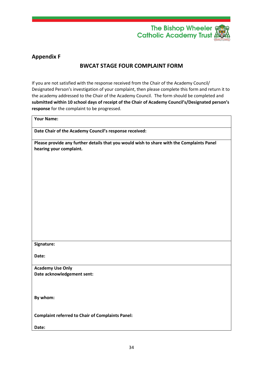

#### <span id="page-33-1"></span><span id="page-33-0"></span>**Appendix F**

#### **BWCAT STAGE FOUR COMPLAINT FORM**

If you are not satisfied with the response received from the Chair of the Academy Council/ Designated Person's investigation of your complaint, then please complete this form and return it to the academy addressed to the Chair of the Academy Council. The form should be completed and **submitted within 10 school days of receipt of the Chair of Academy Council's/Designated person's response** for the complaint to be progressed.

**Your Name:**

**Date Chair of the Academy Council's response received:**

**Please provide any further details that you would wish to share with the Complaints Panel hearing your complaint.**

**Signature:**

**Date:**

**Academy Use Only Date acknowledgement sent:**

**By whom:**

**Complaint referred to Chair of Complaints Panel:**

**Date:**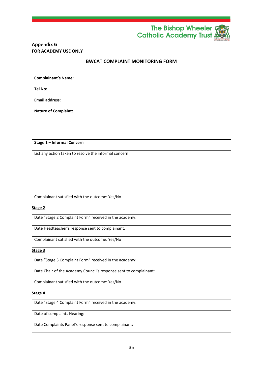

#### <span id="page-34-0"></span>**Appendix G FOR ACADEMY USE ONLY**

#### **BWCAT COMPLAINT MONITORING FORM**

<span id="page-34-1"></span>

| <b>Complainant's Name:</b>  |  |
|-----------------------------|--|
| <b>Tel No:</b>              |  |
| <b>Email address:</b>       |  |
| <b>Nature of Complaint:</b> |  |
|                             |  |

#### **Stage 1 – Informal Concern**

List any action taken to resolve the informal concern:

Complainant satisfied with the outcome: Yes/No

#### **Stage 2**

Date "Stage 2 Complaint Form" received in the academy:

Date Headteacher's response sent to complainant:

Complainant satisfied with the outcome: Yes/No

#### **Stage 3**

Date "Stage 3 Complaint Form" received in the academy:

Date Chair of the Academy Council's response sent to complainant:

Complainant satisfied with the outcome: Yes/No

**Stage 4**

Date "Stage 4 Complaint Form" received in the academy:

Date of complaints Hearing:

Date Complaints Panel's response sent to complainant: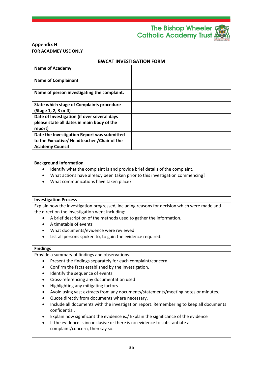The Bishop Wheeler § **Catholic Academy Trust** 

#### **Appendix H FOR ACADMEY USE ONLY**

#### **BWCAT INVESTIGATION FORM**

| <b>Name of Academy</b>                       |  |
|----------------------------------------------|--|
| <b>Name of Complainant</b>                   |  |
| Name of person investigating the complaint.  |  |
| State which stage of Complaints procedure    |  |
| (Stage 1, 2, 3 or 4)                         |  |
| Date of Investigation (if over several days  |  |
| please state all dates in main body of the   |  |
| report)                                      |  |
| Date the Investigation Report was submitted  |  |
| to the Executive/ Headteacher / Chair of the |  |
| <b>Academy Council</b>                       |  |

#### **Background Information**

- Identify what the complaint is and provide brief details of the complaint.
- What actions have already been taken prior to this investigation commencing?
- What communications have taken place?

#### **Investigation Process**

Explain how the investigation progressed, including reasons for decision which were made and the direction the investigation went including:

- A brief description of the methods used to gather the information.
- A timetable of events
- What documents/evidence were reviewed
- List all persons spoken to, to gain the evidence required.

#### **Findings**

Provide a summary of findings and observations.

- Present the findings separately for each complaint/concern.
- Confirm the facts established by the investigation.
- Identify the sequence of events.
- Cross-referencing any documentation used
- Highlighting any mitigating factors
- Avoid using vast extracts from any documents/statements/meeting notes or minutes.
- Quote directly from documents where necessary.
- Include all documents with the investigation report. Remembering to keep all documents confidential.
- Explain how significant the evidence is./ Explain the significance of the evidence
- If the evidence is inconclusive or there is no evidence to substantiate a complaint/concern, then say so.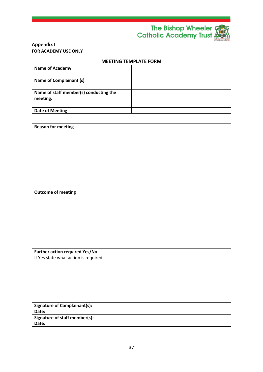

#### **Appendix I FOR ACADEMY USE ONLY**

**Reason for meeting**

#### **MEETING TEMPLATE FORM**

| <b>Name of Academy</b>                             |  |
|----------------------------------------------------|--|
| Name of Complainant (s)                            |  |
| Name of staff member(s) conducting the<br>meeting. |  |
| Date of Meeting                                    |  |

| <b>Outcome of meeting</b>             |
|---------------------------------------|
|                                       |
|                                       |
|                                       |
|                                       |
|                                       |
|                                       |
|                                       |
|                                       |
|                                       |
| <b>Further action required Yes/No</b> |
| If Yes state what action is required  |
|                                       |
|                                       |
|                                       |
|                                       |
|                                       |
|                                       |
| <b>Signature of Complainant(s):</b>   |
| Date:                                 |
| Signature of staff member(s):         |
| Date:                                 |
|                                       |